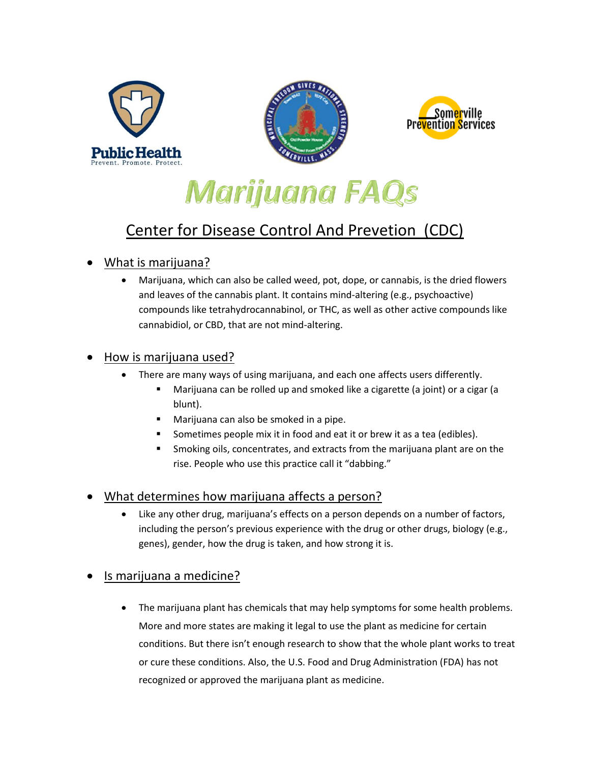





# **Marijuana FAQs**

# Center for Disease Control And Prevetion (CDC)

- What is marijuana?
	- Marijuana, which can also be called weed, pot, dope, or cannabis, is the dried flowers and leaves of the cannabis plant. It contains mind-altering (e.g., psychoactive) compounds like tetrahydrocannabinol, or THC, as well as other active compounds like cannabidiol, or CBD, that are not mind-altering.

# • How is marijuana used?

- There are many ways of using marijuana, and each one affects users differently.
	- Marijuana can be rolled up and smoked like a cigarette (a joint) or a cigar (a blunt).
	- Marijuana can also be smoked in a pipe.
	- Sometimes people mix it in food and eat it or brew it as a tea (edibles).
	- Smoking oils, concentrates, and extracts from the marijuana plant are on the rise. People who use this practice call it "dabbing."

# • What determines how marijuana affects a person?

• Like any other drug, marijuana's effects on a person depends on a number of factors, including the person's previous experience with the drug or other drugs, biology (e.g., genes), gender, how the drug is taken, and how strong it is.

# • Is marijuana a medicine?

• The marijuana plant has chemicals that may help symptoms for some health problems. More and more states are making it legal to use the plant as medicine for certain conditions. But there isn't enough research to show that the whole plant works to treat or cure these conditions. Also, the [U.S. Food and Drug Administration \(FDA\)](https://www.fda.gov/NewsEvents/PublicHealthFocus/ucm421163.htm) has not recognized or approved the marijuana plant as medicine.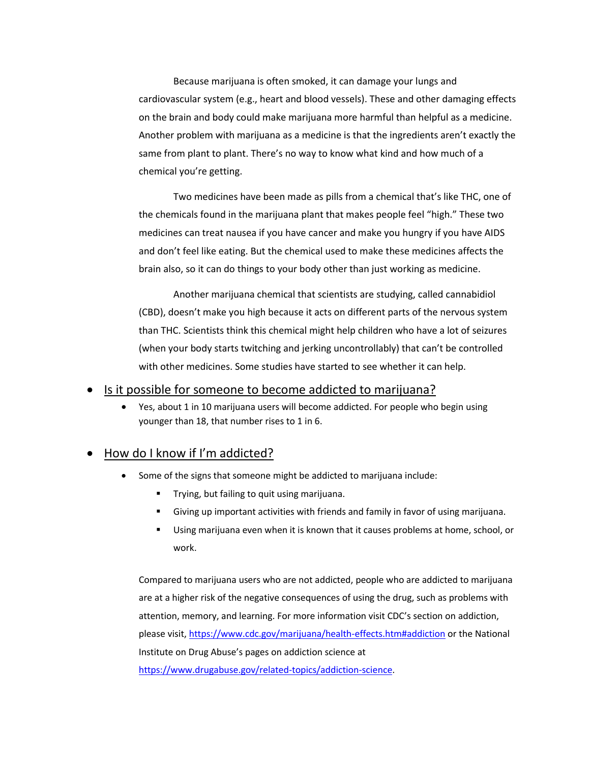Because marijuana is often smoked, it can damage your lungs and cardiovascular system (e.g., heart and blood vessels). These and other damaging effects on the brain and body could make marijuana more harmful than helpful as a medicine. Another problem with marijuana as a medicine is that the ingredients aren't exactly the same from plant to plant. There's no way to know what kind and how much of a chemical you're getting.

Two medicines have been made as pills from a chemical that's like THC, one of the chemicals found in the marijuana plant that makes people feel "high." These two medicines can treat nausea if you have cancer and make you hungry if you have AIDS and don't feel like eating. But the chemical used to make these medicines affects the brain also, so it can do things to your body other than just working as medicine.

Another marijuana chemical that scientists are studying, called cannabidiol (CBD), doesn't make you high because it acts on different parts of the nervous system than THC. Scientists think this chemical might help children who have a lot of seizures (when your body starts twitching and jerking uncontrollably) that can't be controlled with other medicines. Some studies have started to see whether it can help.

#### • Is it possible for someone to become addicted to marijuana?

• Yes, about 1 in 10 marijuana users will become addicted. For people who begin using younger than 18, that number rises to 1 in 6.

#### • How do I know if I'm addicted?

- Some of the signs that someone might be addicted to marijuana include:
	- Trying, but failing to quit using marijuana.
	- Giving up important activities with friends and family in favor of using marijuana.
	- Using marijuana even when it is known that it causes problems at home, school, or work.

Compared to marijuana users who are not addicted, people who are addicted to marijuana are at a higher risk of the negative consequences of using the drug, such as problems with attention, memory, and learning. For more information visit CDC's section on [addiction,](https://www.cdc.gov/marijuana/health-effects.htm#addiction) please visit, <https://www.cdc.gov/marijuana/health-effects.htm#addiction> or the National Institute on Drug Abuse's pages on addiction science at [https://www.drugabuse.gov/related-topics/addiction-science.](https://www.drugabuse.gov/related-topics/addiction-science)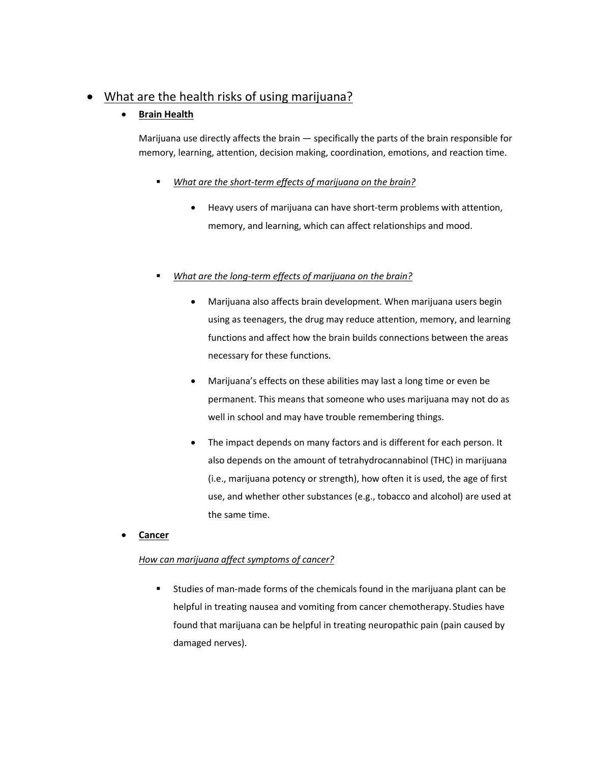# • What are the health risks of using marijuana?

## • **Brain Health**

Marijuana use directly affects the brain — specifically the parts of the brain responsible for memory, learning, attention, decision making, coordination, emotions, and reaction time.

- What are the short-term effects of marijuana on the brain?
	- Heavy users of marijuana can have short-term problems with attention, memory, and learning, which can affect relationships and mood.
- What are the long-term effects of marijuana on the brain?
	- Marijuana also affects brain development. When marijuana users begin using as teenagers, the drug may reduce attention, memory, and learning functions and affect how the brain builds connections between the areas necessary for these functions.
	- Marijuana's effects on these abilities may last a long time or even be permanent. This means that someone who uses marijuana may not do as well in school and may have trouble remembering things.
	- The impact depends on many factors and is different for each person. It also depends on the amount of tetrahydrocannabinol (THC) in marijuana (i.e., marijuana potency or strength), how often it is used, the age of first use, and whether other substances (e.g., tobacco and alcohol) are used at the same time.
- **Cancer**

### *How can marijuana affect symptoms of cancer?*

Studies of man-made forms of the chemicals found in the marijuana plant can be helpful in treating nausea and vomiting from cancer chemotherapy. Studies have found that marijuana can be helpful in treating neuropathic pain (pain caused by damaged nerves).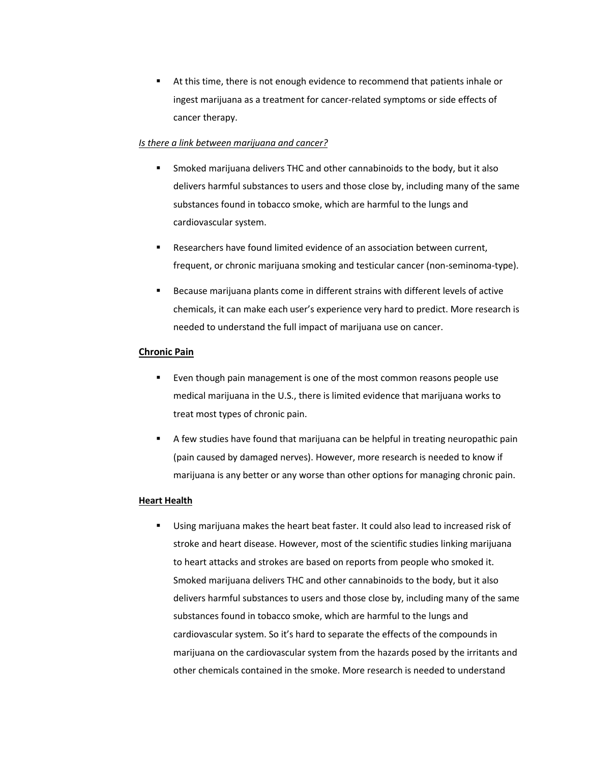▪ At this time, there is not enough evidence to recommend that patients inhale or ingest marijuana as a treatment for cancer-related symptoms or side effects of cancer therapy.

#### *Is there a link between marijuana and cancer?*

- Smoked marijuana delivers THC and other cannabinoids to the body, but it also delivers harmful substances to users and those close by, including many of the same substances found in tobacco smoke, which are harmful to the lungs and cardiovascular system.
- Researchers have found limited evidence of an association between current, frequent, or chronic marijuana smoking and testicular cancer (non-seminoma-type).
- Because marijuana plants come in different strains with different levels of active chemicals, it can make each user's experience very hard to predict. More research is needed to understand the full impact of marijuana use on cancer.

#### **Chronic Pain**

- Even though pain management is one of the most common reasons people use medical marijuana in the U.S., there is limited evidence that marijuana works to treat most types of chronic pain.
- A few studies have found that marijuana can be helpful in treating neuropathic pain (pain caused by damaged nerves). However, more research is needed to know if marijuana is any better or any worse than other options for managing chronic pain.

#### **Heart Health**

Using marijuana makes the heart beat faster. It could also lead to increased risk of stroke and heart disease. However, most of the scientific studies linking marijuana to heart attacks and strokes are based on reports from people who smoked it. Smoked marijuana delivers THC and other cannabinoids to the body, but it also delivers harmful substances to users and those close by, including many of the same substances found in tobacco smoke, which are harmful to the lungs and cardiovascular system. So it's hard to separate the effects of the compounds in marijuana on the cardiovascular system from the hazards posed by the irritants and other chemicals contained in the smoke. More research is needed to understand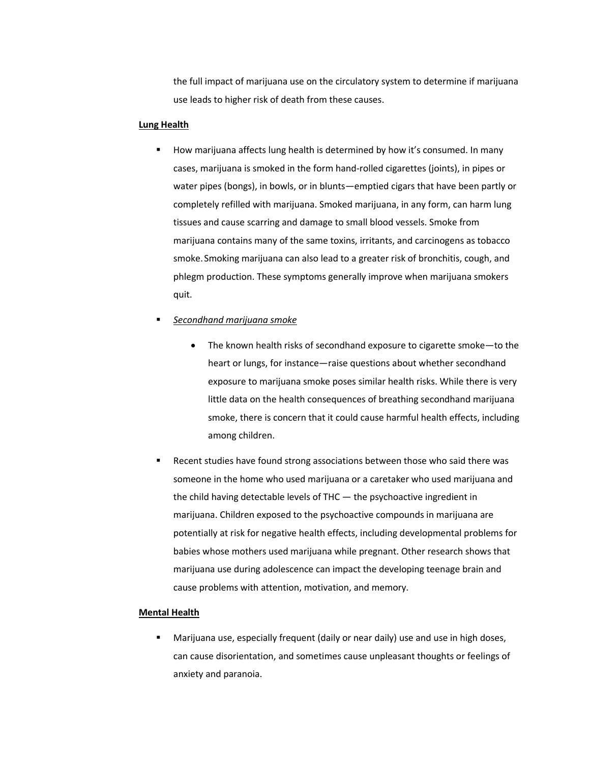the full impact of marijuana use on the circulatory system to determine if marijuana use leads to higher risk of death from these causes.

#### **Lung Health**

- How marijuana affects lung health is determined by how it's consumed. In many cases, marijuana is smoked in the form hand-rolled cigarettes (joints), in pipes or water pipes (bongs), in bowls, or in blunts—emptied cigars that have been partly or completely refilled with marijuana. Smoked marijuana, in any form, can harm lung tissues and cause scarring and damage to small blood vessels. Smoke from marijuana contains many of the same toxins, irritants, and carcinogens as tobacco smoke. Smoking marijuana can also lead to a greater risk of bronchitis, cough, and phlegm production. These symptoms generally improve when marijuana smokers quit.
- *Secondhand marijuana smoke*
	- The known health risks of secondhand exposure to cigarette smoke—to the heart or lungs, for instance—raise questions about whether secondhand exposure to marijuana smoke poses similar health risks. While there is very little data on the health consequences of breathing secondhand marijuana smoke, there is concern that it could cause harmful health effects, including among children.
- Recent studies have found strong associations between those who said there was someone in the home who used marijuana or a caretaker who used marijuana and the child having detectable levels of THC — the psychoactive ingredient in marijuana. Children exposed to the psychoactive compounds in marijuana are potentially at risk for negative health effects, including developmental problems for babies whose mothers used marijuana while pregnant. Other research shows that marijuana use during adolescence can impact the developing teenage brain and cause problems with attention, motivation, and memory.

#### **Mental Health**

Marijuana use, especially frequent (daily or near daily) use and use in high doses, can cause disorientation, and sometimes cause unpleasant thoughts or feelings of anxiety and paranoia.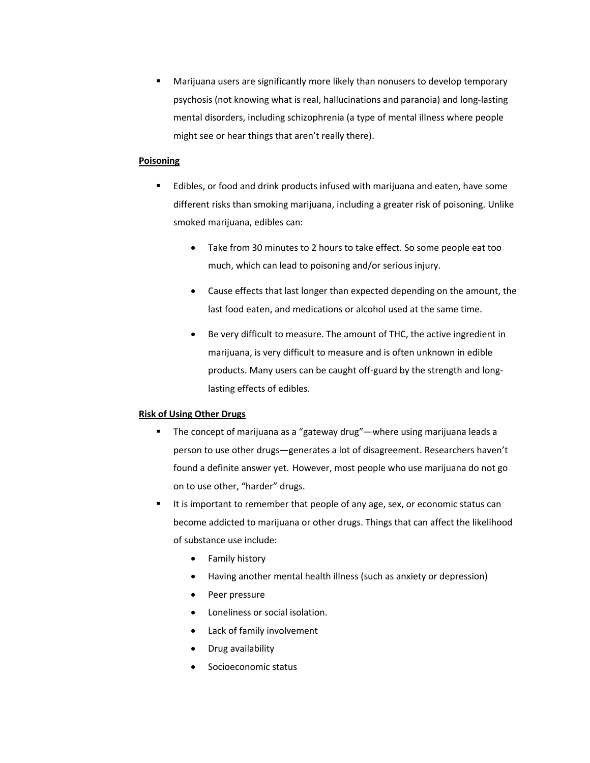Marijuana users are significantly more likely than nonusers to develop temporary psychosis (not knowing what is real, hallucinations and paranoia) and long-lasting mental disorders, including schizophrenia (a type of mental illness where people might see or hear things that aren't really there).

#### **Poisoning**

- Edibles, or food and drink products infused with marijuana and eaten, have some different risks than smoking marijuana, including a greater risk of poisoning. Unlike smoked marijuana, edibles can:
	- Take from 30 minutes to 2 hours to take effect. So some people eat too much, which can lead to poisoning and/or serious injury.
	- Cause effects that last longer than expected depending on the amount, the last food eaten, and medications or alcohol used at the same time.
	- Be very difficult to measure. The amount of THC, the active ingredient in marijuana, is very difficult to measure and is often unknown in edible products. Many users can be caught off-guard by the strength and longlasting effects of edibles.

#### **Risk of Using Other Drugs**

- The concept of marijuana as a "gateway drug"—where using marijuana leads a person to use other drugs—generates a lot of disagreement. Researchers haven't found a definite answer yet. However, most people who use marijuana do not go on to use other, "harder" drugs.
- It is important to remember that people of any age, sex, or economic status can become addicted to marijuana or other drugs. Things that can affect the likelihood of substance use include:
	- Family history
	- Having another mental health illness (such as anxiety or depression)
	- Peer pressure
	- Loneliness or social isolation.
	- Lack of family involvement
	- Drug availability
	- Socioeconomic status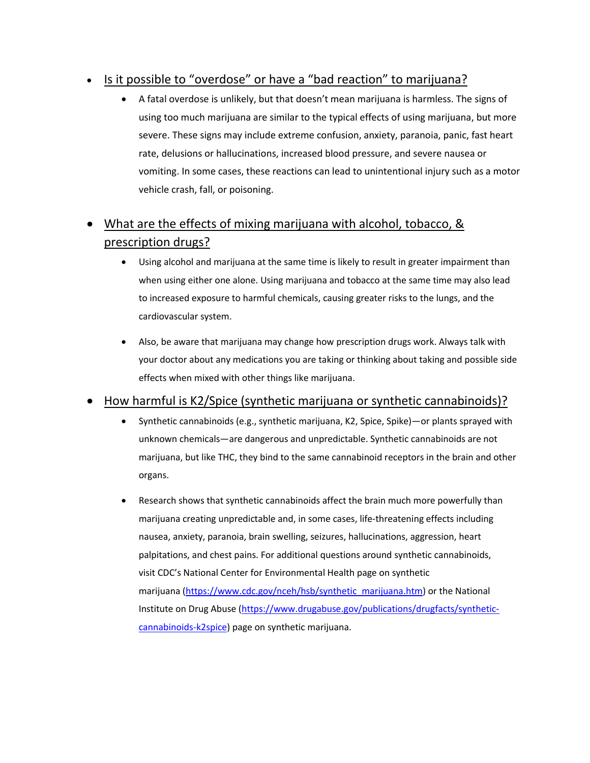# • Is it possible to "overdose" or have a "bad reaction" to marijuana?

• A fatal overdose is unlikely, but that doesn't mean marijuana is harmless. The signs of using too much marijuana are similar to the typical effects of using marijuana, but more severe. These signs may include extreme confusion, anxiety, paranoia, panic, fast heart rate, delusions or hallucinations, increased blood pressure, and severe nausea or vomiting. In some cases, these reactions can lead to unintentional injury such as a motor vehicle crash, fall, or poisoning.

# • What are the effects of mixing marijuana with alcohol, tobacco, & prescription drugs?

- Using alcohol and marijuana at the same time is likely to result in greater impairment than when using either one alone. Using marijuana and tobacco at the same time may also lead to increased exposure to harmful chemicals, causing greater risks to the lungs, and the cardiovascular system.
- Also, be aware that marijuana may change how prescription drugs work. Always talk with your doctor about any medications you are taking or thinking about taking and possible side effects when mixed with other things like marijuana.

# • How harmful is K2/Spice (synthetic marijuana or synthetic cannabinoids)?

- Synthetic cannabinoids (e.g., synthetic marijuana, K2, Spice, Spike)—or plants sprayed with unknown chemicals—are dangerous and unpredictable. Synthetic cannabinoids are not marijuana, but like THC, they bind to the same cannabinoid receptors in the brain and other organs.
- Research shows that synthetic cannabinoids affect the brain much more powerfully than marijuana creating unpredictable and, in some cases, life-threatening effects including nausea, anxiety, paranoia, brain swelling, seizures, hallucinations, aggression, heart palpitations, and chest pains. For additional questions around synthetic cannabinoids, visit [CDC's National Center for Environmental Health page on synthetic](https://www.cdc.gov/nceh/hsb/synthetic_marijuana.htm)  [marijuana](https://www.cdc.gov/nceh/hsb/synthetic_marijuana.htm) [\(https://www.cdc.gov/nceh/hsb/synthetic\\_marijuana.htm\)](https://www.cdc.gov/nceh/hsb/synthetic_marijuana.htm) or the National [Institute on Drug Abuse](file:///C:/Users/ajennings/AppData/Local/Microsoft/Windows/Temporary%20Internet%20Files/Content.Outlook/LK6W4409/National%20Institute%20on%20Drug%20Abuse) [\(https://www.drugabuse.gov/publications/drugfacts/synthetic](https://www.drugabuse.gov/publications/drugfacts/synthetic-cannabinoids-k2spice)[cannabinoids-k2spice\)](https://www.drugabuse.gov/publications/drugfacts/synthetic-cannabinoids-k2spice) page on synthetic marijuana.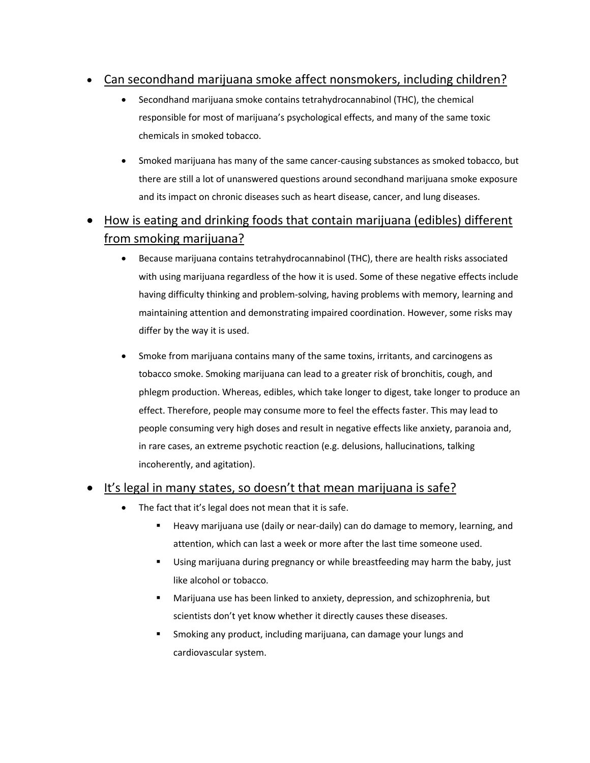# • Can secondhand marijuana smoke affect nonsmokers, including children?

- Secondhand marijuana smoke contains tetrahydrocannabinol (THC), the chemical responsible for most of marijuana's psychological effects, and many of the same toxic chemicals in smoked tobacco.
- Smoked marijuana has many of the same cancer-causing substances as smoked tobacco, but there are still a lot of unanswered questions around secondhand marijuana smoke exposure and its impact on chronic diseases such as heart disease, cancer, and lung diseases.

# • How is eating and drinking foods that contain marijuana (edibles) different from smoking marijuana?

- Because marijuana contains tetrahydrocannabinol (THC), there are health risks associated with using marijuana regardless of the how it is used. Some of these negative effects include having difficulty thinking and problem-solving, having problems with memory, learning and maintaining attention and demonstrating impaired coordination. However, some risks may differ by the way it is used.
- Smoke from marijuana contains many of the same toxins, irritants, and carcinogens as tobacco smoke. Smoking marijuana can lead to a greater risk of bronchitis, cough, and phlegm production. Whereas, edibles, which take longer to digest, take longer to produce an effect. Therefore, people may consume more to feel the effects faster. This may lead to people consuming very high doses and result in negative effects like anxiety, paranoia and, in rare cases, an extreme psychotic reaction (e.g. delusions, hallucinations, talking incoherently, and agitation).

### • It's legal in many states, so doesn't that mean marijuana is safe?

- The fact that it's legal does not mean that it is safe.
	- Heavy marijuana use (daily or near-daily) can do damage to memory, learning, and attention, which can last a week or more after the last time someone used.
	- Using marijuana during pregnancy or while breastfeeding may harm the baby, just like alcohol or tobacco.
	- Marijuana use has been linked to anxiety, depression, and schizophrenia, but scientists don't yet know whether it directly causes these diseases.
	- Smoking any product, including marijuana, can damage your lungs and cardiovascular system.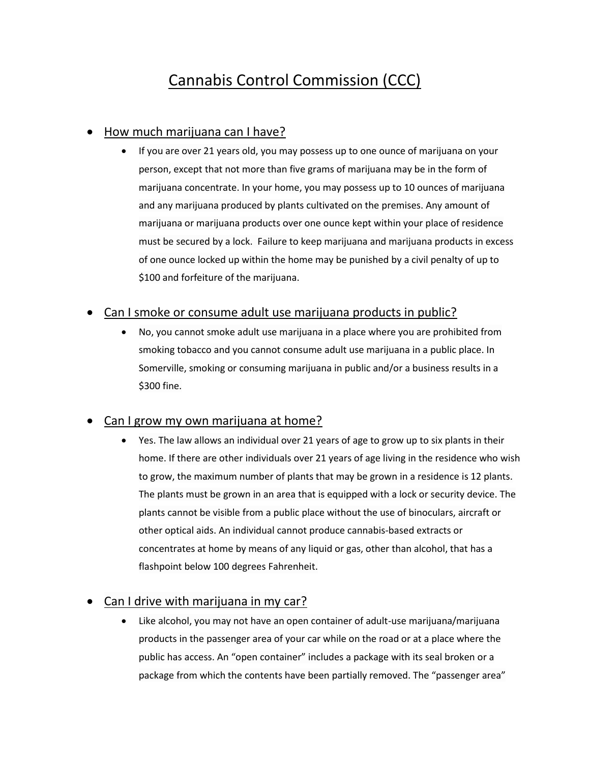# Cannabis Control Commission (CCC)

# • How much marijuana can I have?

• If you are over 21 years old, you may possess up to one ounce of marijuana on your person, except that not more than five grams of marijuana may be in the form of marijuana concentrate. In your home, you may possess up to 10 ounces of marijuana and any marijuana produced by plants cultivated on the premises. Any amount of marijuana or marijuana products over one ounce kept within your place of residence must be secured by a lock. Failure to keep marijuana and marijuana products in excess of one ounce locked up within the home may be punished by a civil penalty of up to \$100 and forfeiture of the marijuana.

# • Can I smoke or consume adult use marijuana products in public?

• No, you cannot smoke adult use marijuana in a place where you are prohibited from smoking tobacco and you cannot consume adult use marijuana in a public place. In Somerville, smoking or consuming marijuana in public and/or a business results in a \$300 fine.

# • Can I grow my own marijuana at home?

• Yes. The law allows an individual over 21 years of age to grow up to six plants in their home. If there are other individuals over 21 years of age living in the residence who wish to grow, the maximum number of plants that may be grown in a residence is 12 plants. The plants must be grown in an area that is equipped with a lock or security device. The plants cannot be visible from a public place without the use of binoculars, aircraft or other optical aids. An individual cannot produce cannabis-based extracts or concentrates at home by means of any liquid or gas, other than alcohol, that has a flashpoint below 100 degrees Fahrenheit.

# • Can I drive with marijuana in my car?

• Like alcohol, you may not have an open container of adult-use marijuana/marijuana products in the passenger area of your car while on the road or at a place where the public has access. An "open container" includes a package with its seal broken or a package from which the contents have been partially removed. The "passenger area"